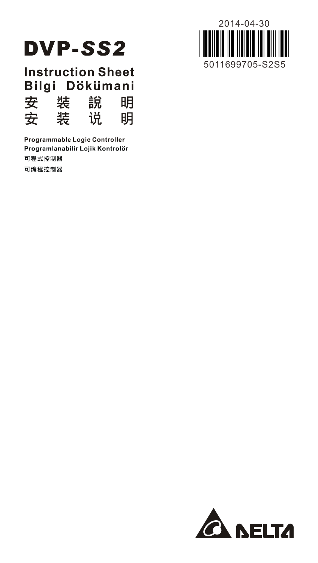

**Instruction Sheet** Bilgi Dökümani 安 裝 說 明 装 安 说 明

Programmable Logic Controller Programlanabilir Lojik Kontrolör 可程式控制器 可编程控制器



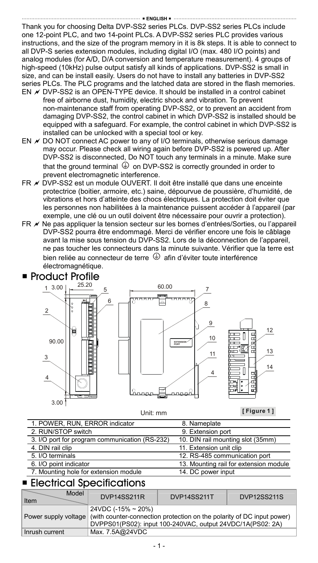Thank you for choosing Delta DVP-SS2 series PLCs. DVP-SS2 series PLCs include one 12-point PLC, and two 14-point PLCs. A DVP-SS2 series PLC provides various instructions, and the size of the program memory in it is 8k steps. It is able to connect to all DVP-S series extension modules, including digital I/O (max. 480 I/O points) and analog modules (for A/D, D/A conversion and temperature measurement). 4 groups of high-speed (10kHz) pulse output satisfy all kinds of applications. DVP-SS2 is small in size, and can be install easily. Users do not have to install any batteries in DVP-SS2 series PLCs. The PLC programs and the latched data are stored in the flash memories.

- EN  $\nu$  DVP-SS2 is an OPEN-TYPE device. It should be installed in a control cabinet free of airborne dust, humidity, electric shock and vibration. To prevent non-maintenance staff from operating DVP-SS2, or to prevent an accident from damaging DVP-SS2, the control cabinet in which DVP-SS2 is installed should be equipped with a safeguard. For example, the control cabinet in which DVP-SS2 is installed can be unlocked with a special tool or key.
- EN  $\times$  DO NOT connect AC power to any of I/O terminals, otherwise serious damage may occur. Please check all wiring again before DVP-SS2 is powered up. After DVP-SS2 is disconnected, Do NOT touch any terminals in a minute. Make sure that the ground terminal  $\bigoplus$  on DVP-SS2 is correctly grounded in order to prevent electromagnetic interference.
- FR  $\overline{\phantom{a}}$  DVP-SS2 est un module OUVERT. Il doit être installé que dans une enceinte protectrice (boitier, armoire, etc.) saine, dépourvue de poussière, d'humidité, de vibrations et hors d'atteinte des chocs électriques. La protection doit éviter que les personnes non habilitées à la maintenance puissent accéder à l'appareil (par exemple, une clé ou un outil doivent être nécessaire pour ouvrir a protection).
- FR  $★$  Ne pas appliquer la tension secteur sur les bornes d'entrées/Sorties, ou l'appareil DVP-SS2 pourra être endommagé. Merci de vérifier encore une fois le câblage avant la mise sous tension du DVP-SS2. Lors de la déconnection de l'appareil, ne pas toucher les connecteurs dans la minute suivante. Vérifier que la terre est bien reliée au connecteur de terre  $\bigoplus$  afin d'éviter toute interférence électromagnétique.



Unit: mm

**[ Figure 1 ]**

| 1. POWER, RUN, ERROR indicator                 | 8. Nameplate                           |
|------------------------------------------------|----------------------------------------|
| 2. RUN/STOP switch                             | 9. Extension port                      |
| 3. I/O port for program communication (RS-232) | 10. DIN rail mounting slot (35mm)      |
| 4. DIN rail clip                               | 11. Extension unit clip                |
| 5. I/O terminals                               | 12. RS-485 communication port          |
| 6. I/O point indicator                         | 13. Mounting rail for extension module |
| 7. Mounting hole for extension module          | 14. DC power input                     |

### **Electrical Specifications**

| Model<br>Item        | <b>DVP14SS211R</b>                                                                                                                                         | DVP14SS211T | <b>DVP12SS211S</b> |
|----------------------|------------------------------------------------------------------------------------------------------------------------------------------------------------|-------------|--------------------|
| Power supply voltage | 24VDC (-15% ~ 20%)<br>(with counter-connection protection on the polarity of DC input power)<br>DVPPS01(PS02): input 100-240VAC, output 24VDC/1A(PS02: 2A) |             |                    |
| Inrush current       | Max. 7.5A@24VDC                                                                                                                                            |             |                    |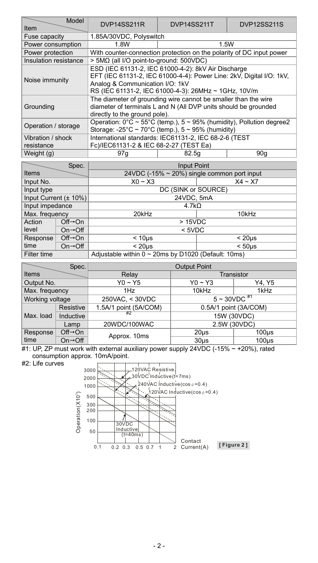| Model<br>Item                   | DVP14SS211R                                                                                                                                                                                                            | DVP14SS211T                                                          | <b>DVP12SS211S</b> |  |  |  |
|---------------------------------|------------------------------------------------------------------------------------------------------------------------------------------------------------------------------------------------------------------------|----------------------------------------------------------------------|--------------------|--|--|--|
| Fuse capacity                   | 1.85A/30VDC, Polyswitch                                                                                                                                                                                                |                                                                      |                    |  |  |  |
| Power consumption               | 1.8W                                                                                                                                                                                                                   | 1.5W                                                                 |                    |  |  |  |
| Power protection                |                                                                                                                                                                                                                        | With counter-connection protection on the polarity of DC input power |                    |  |  |  |
| Insulation resistance           | > 5MΩ (all I/O point-to-ground: 500VDC)                                                                                                                                                                                |                                                                      |                    |  |  |  |
| Noise immunity                  | ESD (IEC 61131-2, IEC 61000-4-2): 8kV Air Discharge<br>EFT (IEC 61131-2, IEC 61000-4-4): Power Line: 2kV, Digital I/O: 1kV,<br>Analog & Communication I/O: 1kV<br>RS (IEC 61131-2, IEC 61000-4-3): 26MHz ~ 1GHz, 10V/m |                                                                      |                    |  |  |  |
| Grounding                       | The diameter of grounding wire cannot be smaller than the wire<br>diameter of terminals L and N (All DVP units should be grounded<br>directly to the ground pole).                                                     |                                                                      |                    |  |  |  |
| Operation / storage             | Operation: 0°C ~ 55°C (temp.), 5 ~ 95% (humidity), Pollution degree2<br>Storage: -25°C ~ 70°C (temp.), $5 \sim 95\%$ (humidity)                                                                                        |                                                                      |                    |  |  |  |
| Vibration / shock<br>resistance | International standards: IEC61131-2, IEC 68-2-6 (TEST<br>Fc)/IEC61131-2 & IEC 68-2-27 (TEST Ea)                                                                                                                        |                                                                      |                    |  |  |  |
| Weight (g)                      | 97q                                                                                                                                                                                                                    | 82.5a                                                                | 90 <sub>a</sub>    |  |  |  |

|                       | Spec.                        | <b>Input Point</b>                                        |                    |  |
|-----------------------|------------------------------|-----------------------------------------------------------|--------------------|--|
| Items                 |                              | 24VDC (-15% ~ 20%) single common port input               |                    |  |
| Input No.             |                              | $X0 - X3$                                                 | $X4 - X7$          |  |
| Input type            |                              | DC (SINK or SOURCE)                                       |                    |  |
| Input Current (± 10%) |                              | 24VDC, 5mA                                                |                    |  |
| Input impedance       |                              | $4.7k\Omega$                                              |                    |  |
| Max. frequency        |                              | 20kHz<br>10kHz                                            |                    |  |
| Action                | $Off \rightarrow On$         | >15VDC                                                    |                    |  |
| level                 | $On \rightarrow \bigcirc ff$ | $<$ 5VDC                                                  |                    |  |
| Response              | $Off \rightarrow On$         | < 10 <sub>us</sub>                                        | < 20 <sub>us</sub> |  |
| time                  | $On \rightarrow \bigcirc ff$ | < 20 <sub>us</sub>                                        | < 50 <sub>us</sub> |  |
| Filter time           |                              | Adjustable within $0 \sim 20$ ms by D1020 (Default: 10ms) |                    |  |

|                                     | Spec.                                                            |                       | <b>Output Point</b>   |                  |  |
|-------------------------------------|------------------------------------------------------------------|-----------------------|-----------------------|------------------|--|
| Items                               |                                                                  | Relay                 | Transistor            |                  |  |
| Output No.                          |                                                                  | $Y0 - Y5$             | $Y0 - Y3$             | Y4, Y5           |  |
| Max. frequency                      |                                                                  | 1Hz                   | 10kHz<br>1kHz         |                  |  |
|                                     | $5 - 30 VDC$ <sup>#1</sup><br>Working voltage<br>250VAC, < 30VDC |                       |                       |                  |  |
| Resistive<br>Max. load<br>Inductive |                                                                  | 1.5A/1 point (5A/COM) | 0.5A/1 point (3A/COM) |                  |  |
|                                     |                                                                  | #7                    | 15W (30VDC)           |                  |  |
|                                     | 20WDC/100WAC<br>Lamp                                             |                       | 2.5W (30VDC)          |                  |  |
| Response                            | $Off \rightarrow On$                                             | Approx. 10ms          | 20 <sub>µ</sub> s     | $100µ$ s         |  |
| time                                | $On \rightarrow \overline{Off}$                                  |                       | $30u$ s               | 100 <sub>u</sub> |  |

#1: UP, ZP must work with external auxiliary power supply 24VDC (-15% ~ +20%), rated consumption approx. 10mA/point. #2: Life curves

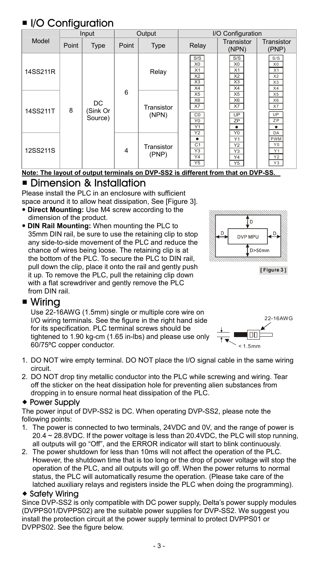# **II** I/O Configuration

|          | Input |                           | Output         |                     | I/O Configuration                                                 |                                                                     |                                                           |
|----------|-------|---------------------------|----------------|---------------------|-------------------------------------------------------------------|---------------------------------------------------------------------|-----------------------------------------------------------|
| Model    | Point | Type                      | Point          | Type                | Relay                                                             | Transistor<br>(NPN)                                                 | Transistor<br>(PNP)                                       |
| 14SS211R |       |                           |                | Relay               | S/S<br>X <sub>0</sub><br>X1<br>X <sub>2</sub><br>X3<br>X4         | S/S<br>X <sub>0</sub><br>X1<br>X <sub>2</sub><br>X3<br>X4           | S/S<br>X <sub>0</sub><br>X1<br>X <sub>2</sub><br>X3<br>X4 |
| 14SS211T | 8     | DC<br>(Sink Or<br>Source) | 6              | Transistor<br>(NPN) | X5<br>X <sub>6</sub><br>X7<br>$_{\rm CO}$<br>Y <sub>0</sub><br>Y1 | X <sub>5</sub><br>X <sub>6</sub><br>X7<br>UP<br>ZP<br>٠<br>Y2<br>Y0 | X <sub>5</sub><br>X6<br>X7<br>UP<br>ZP<br>٠<br>DA         |
| 12SS211S |       |                           | $\overline{4}$ | Transistor<br>(PNP) | ٠<br>C1<br>Y3<br>Y4<br>Y5                                         | Y1<br>Y2<br>Y3<br>$\overline{Y4}$<br>Y5                             | PWM<br>Y0<br>Y1<br>Y <sub>2</sub><br>Y3                   |

**Note: The layout of output terminals on DVP-SS2 is different from that on DVP-SS.**

### Dimension & Installation

Please install the PLC in an enclosure with sufficient space around it to allow heat dissipation, See [Figure 3].

- **Direct Mounting:** Use M4 screw according to the dimension of the product.
- **DIN Rail Mounting:** When mounting the PLC to 35mm DIN rail, be sure to use the retaining clip to stop any side-to-side movement of the PLC and reduce the chance of wires being loose. The retaining clip is at the bottom of the PLC. To secure the PLC to DIN rail, pull down the clip, place it onto the rail and gently push it up. To remove the PLC, pull the retaining clip down with a flat screwdriver and gently remove the PLC from DIN rail.



### ■ Wiring

Use 22-16AWG (1.5mm) single or multiple core wire on I/O wiring terminals. See the figure in the right hand side for its specification. PLC terminal screws should be tightened to 1.90 kg-cm (1.65 in-lbs) and please use only 60/75ºC copper conductor.



- 1. DO NOT wire empty terminal. DO NOT place the I/O signal cable in the same wiring circuit.
- 2. DO NOT drop tiny metallic conductor into the PLC while screwing and wiring. Tear off the sticker on the heat dissipation hole for preventing alien substances from dropping in to ensure normal heat dissipation of the PLC.

### ◆ Power Supply

The power input of DVP-SS2 is DC. When operating DVP-SS2, please note the following points:

- 1. The power is connected to two terminals, 24VDC and 0V, and the range of power is 20.4 ~ 28.8VDC. If the power voltage is less than 20.4VDC, the PLC will stop running, all outputs will go "Off", and the ERROR indicator will start to blink continuously.
- 2. The power shutdown for less than 10ms will not affect the operation of the PLC. However, the shutdown time that is too long or the drop of power voltage will stop the operation of the PLC, and all outputs will go off. When the power returns to normal status, the PLC will automatically resume the operation. (Please take care of the latched auxiliary relays and registers inside the PLC when doing the programming).

### ◆ Safety Wirina

Since DVP-SS2 is only compatible with DC power supply, Delta's power supply modules (DVPPS01/DVPPS02) are the suitable power supplies for DVP-SS2. We suggest you install the protection circuit at the power supply terminal to protect DVPPS01 or DVPPS02. See the figure below.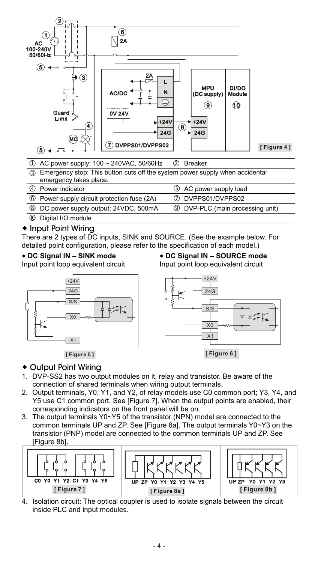

|    | 10 AC power supply: 100 ~ 240VAC, 50/60Hz                                                                 | 2 Breaker                               |
|----|-----------------------------------------------------------------------------------------------------------|-----------------------------------------|
|    | 3) Emergency stop: This button cuts off the system power supply when accidental<br>emergency takes place. |                                         |
|    | 4 Power indicator                                                                                         | 5 AC power supply load                  |
|    |                                                                                                           | 7 DVPPS01/DVPPS02                       |
|    | 6 Power supply circuit protection fuse (2A)                                                               |                                         |
|    | 8 DC power supply output: 24VDC, 500mA                                                                    | <b>9</b> DVP-PLC (main processing unit) |
| 00 | Digital I/O module                                                                                        |                                         |

### ◆ Input Point Wiring

There are 2 types of DC inputs, SINK and SOURCE. (See the example below. For detailed point configuration, please refer to the specification of each model.)

### **DC Signal IN – SINK mode**

Input point loop equivalent circuit



# **DC Signal IN – SOURCE mode**

Input point loop equivalent circuit



### Output Point Wiring

- 1. DVP-SS2 has two output modules on it, relay and transistor. Be aware of the connection of shared terminals when wiring output terminals.
- 2. Output terminals, Y0, Y1, and Y2, of relay models use C0 common port; Y3, Y4, and Y5 use C1 common port. See [Figure 7]. When the output points are enabled, their corresponding indicators on the front panel will be on.
- 3. The output terminals Y0~Y5 of the transistor (NPN) model are connected to the common terminals UP and ZP. See [Figure 8a]. The output terminals Y0~Y3 on the transistor (PNP) model are connected to the common terminals UP and ZP. See [Figure 8b]



4. Isolation circuit: The optical coupler is used to isolate signals between the circuit inside PLC and input modules.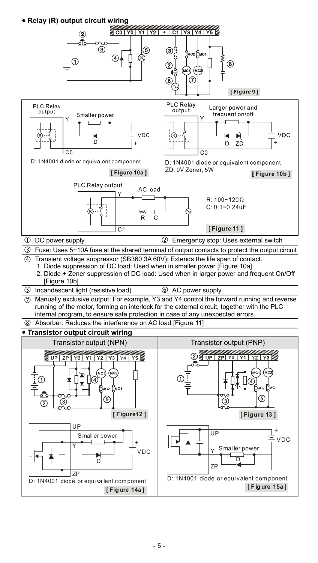**Relay (R) output circuit wiring** 

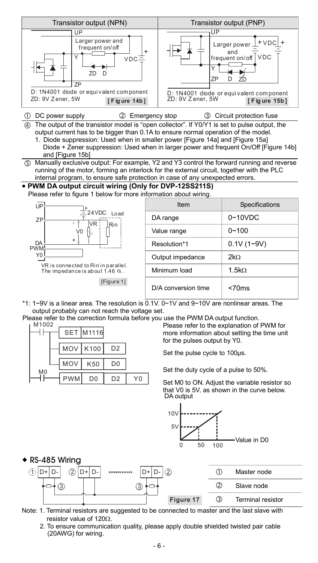

\*1: 1~9V is a linear area. The resolution is  $\overline{0.1V}$ . 0~1V and 9~10V are nonlinear areas. The output probably can not reach the voltage set.

Please refer to the correction formula before you use the PWM DA output function.



Please refer to the explanation of PWM for more information about setting the time unit for the pulses output by Y0.

Set the pulse cycle to 100µs.

Set the duty cycle of a pulse to 50%.

Set M0 to ON. Adjust the variable resistor so that V0 is 5V, as shown in the curve below. DA output



 $\triangle$  RS-485 Wiring



- Note: 1. Terminal resistors are suggested to be connected to master and the last slave with resistor value of 120 $\Omega$ .
	- 2. To ensure communication quality, please apply double shielded twisted pair cable (20AWG) for wiring.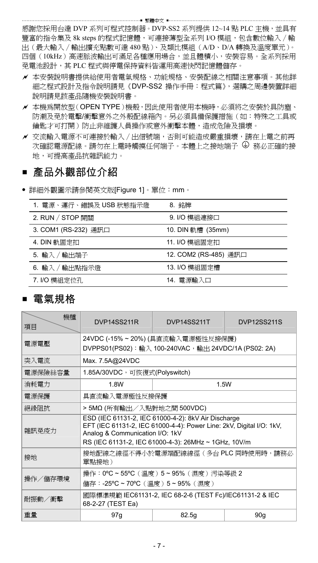感謝您採用台達 DVP 系列可程式控制器。DVP-SS2 系列提供 12~14 點 PLC 主機, 並具有 豐富的指令集及 8k steps 的程式記憶體,可連接薄型全系列 I/O 模組,包含數位輸入∕輸 出(最大輸入∕輸出擴充點數可達 480 點)、及類比模組(A/D、D/A 轉換及溫度單元)。 四個(10kHz)高速脈波輸出可滿足各種應用場合,並且體積小,安裝容易。全系列採用 免電池設計,其 PLC 程式與停電保持資料皆運用高速快閃記憶體儲存。

…… 整體中文 ……

- 本安裝說明書提供給使用者電氣規格、功能規格、安裝配線之相關注意事項。其他詳 細之程式設計及指令說明請見《DVP-SS2 操作手冊:程式篇》,選購之周邊裝置詳細 說明請見該產品隨機安裝說明書。
- 本機為開放型(OPEN TYPE)機殼,因此使用者使用本機時,必須將之安裝於具防塵、 防潮及免於電擊/衝擊意外之外殼配線箱內。另必須具備保護措施(如:特殊之工具或 鑰匙才可打開)防止非維護人員操作或意外衝擊本體,造成危險及損壞。
- 交流輸入電源不可連接於輸入∕出信號端,否則可能造成嚴重損壞,請在上電之前再 次確認電源配線。請勿在上電時觸摸任何端子。本體上之接地端子  $\Theta$  務必正確的接 地,可提高產品抗雜訊能力。

## ■ 產品外觀部位介紹

詳細外觀圖示請參閱英文版[Figure 1]。單位:mm。

| 1. 雷源、運行、錯誤及 USB 狀態指示燈 | 8. 銘牌                 |
|------------------------|-----------------------|
| 2. RUN / STOP 開關       | 9. I/O 模組連接口          |
| 3. COM1 (RS-232) 通訊口   | 10. DIN 軌槽 (35mm)     |
| 4. DIN 軌固定扣            | 11. I/O 模組固定扣         |
| 5. 輸入 /輸出端子            | 12. COM2 (RS-485) 通訊口 |
| 6. 輸入 /輸出點指示燈          | 13. I/O 模組固定槽         |
| 7. I/O 模組定位孔           | 14. 雷源輸入口             |

### ■ 電氣規格

| 機種<br>項目 | DVP14SS211R                                                                                                                                                                                                            | DVP14SS211T                                                                              | <b>DVP12SS211S</b> |  |  |
|----------|------------------------------------------------------------------------------------------------------------------------------------------------------------------------------------------------------------------------|------------------------------------------------------------------------------------------|--------------------|--|--|
| 雷源雷壓     |                                                                                                                                                                                                                        | 24VDC (-15% ~ 20%) (具直流輸入電源極性反接保護)<br>DVPPS01(PS02):輸入 100-240VAC,輸出 24VDC/1A (PS02: 2A) |                    |  |  |
| 突入電流     | Max. 7.5A@24VDC                                                                                                                                                                                                        |                                                                                          |                    |  |  |
| 電源保險絲容量  | 1.85A/30VDC,可恢復式(Polyswitch)                                                                                                                                                                                           |                                                                                          |                    |  |  |
| 消耗電力     | 1.8W                                                                                                                                                                                                                   | 1.5W                                                                                     |                    |  |  |
| 電源保護     | 具直流輸入電源極性反接保護                                                                                                                                                                                                          |                                                                                          |                    |  |  |
| 絕緣阻抗     | > 5MΩ (所有輸出/入點對地之間 500VDC)                                                                                                                                                                                             |                                                                                          |                    |  |  |
| 雜訊孕疫力    | ESD (IEC 61131-2, IEC 61000-4-2): 8kV Air Discharge<br>EFT (IEC 61131-2, IEC 61000-4-4): Power Line: 2kV, Digital I/O: 1kV,<br>Analog & Communication I/O: 1kV<br>RS (IEC 61131-2, IEC 61000-4-3): 26MHz ~ 1GHz, 10V/m |                                                                                          |                    |  |  |
| 接地       | 接地配線之線徑不得小於電源端配線線徑(多台 PLC 同時使用時,請務必<br>單點接地)                                                                                                                                                                           |                                                                                          |                    |  |  |
| 操作/儲存環境  | 操作: 0°C ~ 55°C (溫度) 5~95% (濕度) 污染等級 2<br>儲存:-25°C ~ 70°C (溫度) 5~95% (濕度)                                                                                                                                               |                                                                                          |                    |  |  |
| 耐振動/衝擊   | 國際標準規範 IEC61131-2, IEC 68-2-6 (TEST Fc)/IEC61131-2 & IEC<br>68-2-27 (TEST Ea)                                                                                                                                          |                                                                                          |                    |  |  |
| 重量       | 97g                                                                                                                                                                                                                    | 82.5q                                                                                    | 90q                |  |  |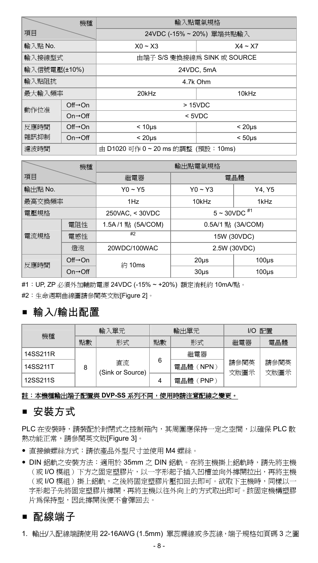| 機種           |                                 | 輸入點電氣規格                          |                             |  |  |
|--------------|---------------------------------|----------------------------------|-----------------------------|--|--|
| 項目           |                                 |                                  | 24VDC (-15%~20%) 單端共點輸入     |  |  |
| 輸入點 No.      |                                 | $X0 - X3$                        | $X4 \sim X7$                |  |  |
| 輸入接線型式       |                                 |                                  | 由端子 S/S 變換接線為 SINK 或 SOURCE |  |  |
| 輸入信號電壓(±10%) |                                 | 24VDC, 5mA                       |                             |  |  |
| 輸入點阻抗        |                                 | 4.7k Ohm                         |                             |  |  |
| 最大輸入頻率       |                                 | 20kHz                            | 10kHz                       |  |  |
| 動作位准         | $Off \rightarrow On$            | >15VDC                           |                             |  |  |
|              | $On \rightarrow \overline{Off}$ | $<$ 5VDC                         |                             |  |  |
| 反應時間         | $Off \rightarrow On$            | $< 10µ$ s<br>$< 20 \mu s$        |                             |  |  |
| 雜訊抑制         | $On \rightarrow \text{Off}$     | $< 20 \mu s$<br>$< 50µ$ s        |                             |  |  |
| 濾波時間         |                                 | 由 D1020 可作 0~20 ms 的調整 (預設:10ms) |                             |  |  |

|         | 機種                           | 輸出點電氣規格           |                   |          |  |
|---------|------------------------------|-------------------|-------------------|----------|--|
| 項目      |                              | 繼電器<br>電晶體        |                   |          |  |
| 輸出點 No. |                              | $Y0 - Y5$         | $Y0 - Y3$         | Y4, Y5   |  |
| 最高交換頻率  |                              | 1H <sub>Z</sub>   | 10kHz             | 1kHz     |  |
| 電壓規格    |                              | 250VAC, < 30VDC   | $5 - 30VDC$ #1    |          |  |
|         | 電阻性                          | 1.5A/1 點 (5A/COM) | 0.5A/1 點 (3A/COM) |          |  |
| 電流規格    | 電感性                          | #2                | 15W (30VDC)       |          |  |
|         | 燈泡                           | 20WDC/100WAC      | 2.5W (30VDC)      |          |  |
| 反應時間    | $Off \rightarrow On$         | 約 10ms            | $20µ$ s           | $100µ$ s |  |
|         | $On \rightarrow \bigcirc ff$ |                   | $30µ$ s           | $100µ$ s |  |

#1:UP, ZP 必須外加輔助電源 24VDC (-15% ~ +20%) 額定消耗約 10mA/點。

#2:生命週期曲線圖請參閱英文版[Figure 2]。

### 輸入/輸出配置

| 機種       | 輸入單元 |                        | 輸出單元 |              | 配置<br>I/O    |              |
|----------|------|------------------------|------|--------------|--------------|--------------|
|          | 點數   | 形式                     | 點數   | 形式           | 繼電器          | 電晶體          |
| 14SS211R |      |                        | 6    | 繼電器          | 請參閱英<br>文版圖示 | 請參閱英<br>文版圖示 |
| 14SS211T | 8    | 直流<br>(Sink or Source) |      | NPN)<br>電晶體  |              |              |
| 12SS211S |      |                        |      | 電晶體<br>(PNP) |              |              |

#### 註:本機種輸出端子配置與 **DVP-SS** 系列不同,使用時請注意配線之變更。

### ■ 安裝方式

PLC 在安裝時,請裝配於封閉式之控制箱內,其周圍應保持一定之空間,以確保 PLC 散 熱功能正常,請參閱英文版[Figure 3]。

- 直接鎖螺絲方式:請依產品外型尺寸並使用 M4 螺絲。
- DIN 鋁軌之安裝方法:適用於 35mm 之 DIN 鋁軌。在將主機掛上鋁軌時,請先將主機 (或 I/O 模組)下方之固定塑膠片,以一字形起子插入凹槽並向外撐開拉出,再將主機 (或 I/O 模組)掛上鋁軌,之後將固定塑膠片壓扣回去即可。欲取下主機時,同樣以一 字形起子先將固定塑膠片撐開,再將主機以往外向上的方式取出即可。該固定機構塑膠 片為保持型,因此撐開後便不會彈回去。

### ■ 配線端子

1. 輸出/入配線端請使用 22-16AWG (1.5mm) 單蕊祼線或多蕊線,端子規格如頁碼 3 之圖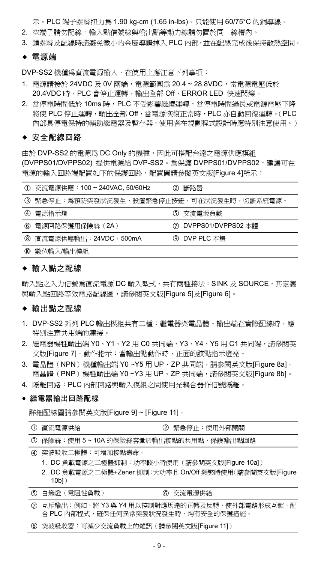示。PLC 端子螺絲扭力為 1.90 kg-cm (1.65 in-lbs)。只能使用 60/75°C 的銅導線。

- 2. 空端子請勿配線。輸入點信號線與輸出點等動力線請勿置於同一線槽內。
- 3. 鎖螺絲及配線時請避免微小的金屬導體掉入 PLC 內部,並在配線完成後保持散熱空間。
- 電源端

DVP-SS2 機種為直流電源輸入,在使用上應注意下列事項:

- 1. 電源請接於 24VDC 及 0V 兩端,電源範圍為 20.4 ~ 28.8VDC,當電源電壓低於 20.4VDC 時, PLC 會停止運轉,輸出全部 Off, ERROR LED 快速閃爍。
- 2. 當停電時間低於 10ms 時, PLC 不受影響繼續運轉,當停電時間過長或電源電壓下降 將使 PLC 停止運轉,輸出全部 Off,當電源恢復正常時,PLC 亦自動回復運轉。(PLC 內部具停電保持的輔助繼電器及暫存器,使用者在規劃程式設計時應特別注意使用。)

#### ◆ 安全配線回路

由於 DVP-SS2 的電源為 DC Only 的機種,因此可搭配台達之電源供應模組 (DVPPS01/DVPPS02) 提供電源給 DVP-SS2。為保護 DVPPS01/DVPPS02,建議可在 電源的輸入回路端配置如下的保護回路,配置圖請參閱英文版[Figure 4]所示:

|               | ① 交流電源供應: 100~240VAC, 50/60Hz             | ② 斷路器                |
|---------------|-------------------------------------------|----------------------|
|               | ③ 緊急停止:為預防突發狀況發生,設置緊急停止按鈕,可在狀況發生時,切斷系統電源。 |                      |
| $\circled{4}$ | 電源指示燈                                     | 5 交流電源負載             |
| 6             | 電源回路保護用保險絲 (2A)                           | ⑦ DVPPS01/DVPPS02 本體 |
|               | ⑧ 直流電源供應輸出:24VDC,500mA                    | ⑨ DVP PLC 本體         |
| 00            | 數位輸入/輸出模組                                 |                      |

#### 輸入點之配線

輸入點之入力信號為直流電源 DC 輸入型式,共有兩種接法: SINK 及 SOURCE, 其定義 與輸入點回路等效電路配線圖,請參閱英文版[Figure 5]及[Figure 6]。

### 輸出點之配線

- 1. DVP-SS2 系列 PLC 輸出模組共有二種:繼電器與電晶體。輸出端在實際配線時,應 特別注意共用端的連接。
- 2. 繼電器機種輸出端 Y0、Y1、Y2 用 C0 共同端,Y3、Y4、Y5 用 C1 共同端,請參閱英 文版[Figure 7]。動作指示:當輸出點動作時,正面的該點指示燈亮。
- 3. 電晶體(NPN)機種輸出端 Y0 ~Y5 用 UP、ZP 共同端,請參閱英文版[Figure 8a]。 電晶體(PNP)機種輸出端 Y0 ~Y3 用 UP、ZP 共同端,請參閱英文版[Figure 8b]。
- 4. 隔離回路:PLC 內部回路與輸入模組之間使用光耦合器作信號隔離。

#### 繼電器輸出回路配線

詳細配線圖請參閱英文版[Figure 9] ~ [Figure 11]。

(1) 直流電源供給 おおし インクリック エコ (2) 堅急停止:使用外部開關

- 保險絲:使用 5 ~ 10A 的保險絲容量於輸出接點的共用點,保護輸出點回路
- 突波吸收二極體:可增加接點壽命。
	- 1. DC 負載電源之二極體抑制:功率較小時使用(請參閱英文版[Figure 10a])
	- 2. DC 負載電源之二極體+Zener 抑制:大功率且 On/Off 頻繁時使用(請參閱英文版[Figure 10b])

| 5 白熾燈 (電阻性負載) | 6 交流電源供給                                                                                                                                                                                                                       |  |
|---------------|--------------------------------------------------------------------------------------------------------------------------------------------------------------------------------------------------------------------------------|--|
|               | A TELEVISION NEWSFILM TO A RELATED A RELATION OF A RELATION OF A RELATION OF A RELATION OF A RELATION OF A RELATION OF A RELATION OF A RELATION OF A RELATION OF A RELATION OF A RELATION OF A RELATION OF A RELATION OF A REL |  |

 互斥輸出:例如,將 Y3 與 Y4 用以控制對應馬達的正轉及反轉,使外部電路形成互鎖,配 合 PLC 內部程式,確保任何異常突發狀況發生時,均有安全的保護措施。

突波吸收器:可減少交流負載上的雜訊(請參閱英文版[Figure 11])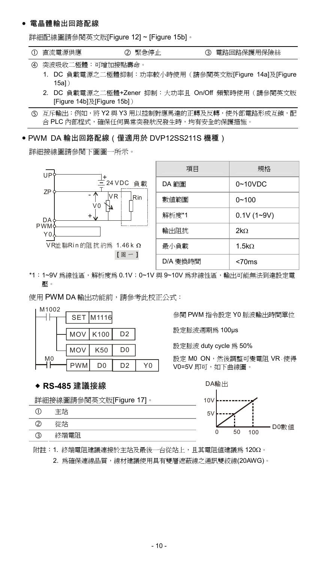#### 電晶體輸出回路配線

詳細配線圖請參閱英文版[Figure 12] ~ [Figure 15b]。

|  |  | ① 直流電源供應 |  | 2 緊急停止 |  | 3 電路回路保護用保險絲 |
|--|--|----------|--|--------|--|--------------|
|--|--|----------|--|--------|--|--------------|

- 突波吸收二極體:可增加接點壽命。
	- 1. DC 負載電源之二極體抑制:功率較小時使用(請參閱英文版[Figure 14a]及[Figure 15a])
	- 2. DC 負載電源之二極體+Zener 抑制:大功率且 On/Off 頻繁時使用(請參閱英文版 [Figure 14b]及[Figure 15b])

### PWM DA 輸出回路配線(僅適用於 DVP12SS211S 機種)

詳細接線圖請參閱下圖圖一所示。



| 項目       | 規格                |
|----------|-------------------|
| DA 範圍    | $0 - 10$ VDC      |
| 數值範圍     | $0 - 100$         |
| 解析度*1    | $0.1V(1-9V)$      |
| 輸出阻抗     | 2kO               |
| 最小負載     | 1.5k <sub>O</sub> |
| D/A 變換時間 | <70ms             |

\*1:1~9V 為線性區,解析度為 0.1V;0~1V 與 9~10V 為非線性區,輸出可能無法到達設定電 壓。

使用 PWM DA 輸出功能前,請參考此校正公式:



#### **RS-485** 建議接線

詳細接線圖請參閱英文版[Figure 17]。

| н    |
|------|
| 论立片  |
| ^端雷阳 |

參閱 PWM 指令設定 Y0 脈波輸出時間單位

設定脈波週期為 100µs

設定脈波 duty cycle 為 50%

設定 MO ON,然後調整可變電阻 VR,使得 V0=5V 即可,如下曲線圖。



附註:1. 終端電阻建議連接於主站及最後一台從站上,且其電阻值建議為 120。

2. 為確保連線品質,線材建議使用具有雙層遮蔽線之通訊雙絞線(20AWG)。

互斥輸出:例如,將 Y2 與 Y3 用以控制對應馬達的正轉及反轉,使外部電路形成互鎖,配 合 PLC 內部程式,確保任何異常突發狀況發生時,均有安全的保護措施。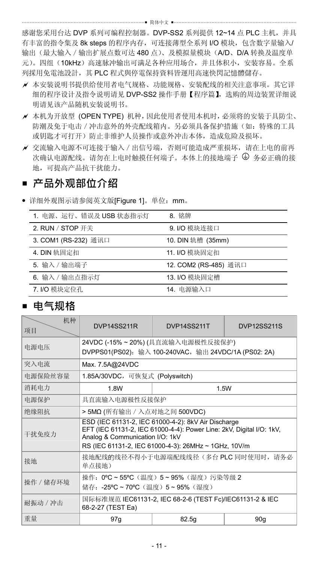感谢您采用台达 DVP 系列可编程控制器。DVP-SS2 系列提供 12~14 点 PLC 主机, 并具 有丰富的指令集及 8k steps 的程序内存,可连接薄型全系列 I/O 模块,包含数字量输入/ 输出(最大输入/输出扩展点数可达 480 点)、及模拟量模块(A/D、D/A 转换及温度单 元)。四组(10kHz)高速脉冲输出可满足各种应用场合,并且体积小,安装容易。全系 列採用免電池設計,其 PLC 程式與停電保持資料皆運用高速快閃記憶體儲存。

… 简体中文 ……

- 本安装说明书提供给使用者电气规格、功能规格、安装配线的相关注意事项。其它详 细的程序设计及指令说明请见 DVP-SS2 操作手册【程序篇】,选购的周边装置详细说 明请见该产品随机安装说明书。
- 本机为开放型 (OPEN TYPE) 机种,因此使用者使用本机时,必须将的安装于具防尘、 防潮及免于电击 / 冲击意外的外壳配线箱内。另必须具备保护措施(如:特殊的工具 或钥匙才可打开)防止非维护人员操作或意外冲击本体,造成危险及损坏。
- 交流输入电源不可连接于输入/出信号端,否则可能造成严重损坏,请在上电的前再 次确认电源配线。请勿在上电时触摸任何端子。本体上的接地端子 9 务必正确的接 地,可提高产品抗干扰能力。

### ■ 产品外观部位介绍

详细外观图示请参阅英文版[Figure 1]。单位:mm。

| 1. 电源、运行、错误及 USB 状态指示灯 | 8. 铭牌                 |
|------------------------|-----------------------|
| 2. RUN / STOP 开关       | 9. I/O 模块连接口          |
| 3. COM1 (RS-232) 通讯口   | 10. DIN 轨槽 (35mm)     |
| 4. DIN 轨固定扣            | 11. I/O 模块固定扣         |
| 5. 输入 / 输出端子           | 12. COM2 (RS-485) 通讯口 |
| 6. 输入 / 输出点指示灯         | 13. I/O 模块固定槽         |
| 7. I/O 模块定位孔           | 14. 电源输入口             |

### **电气规格**

| 机种<br>项目                                                                          | DVP14SS211R                                                                                                                                                                                                            | DVP14SS211T | <b>DVP12SS211S</b> |  |  |  |  |
|-----------------------------------------------------------------------------------|------------------------------------------------------------------------------------------------------------------------------------------------------------------------------------------------------------------------|-------------|--------------------|--|--|--|--|
| 电源电压                                                                              | 24VDC (-15% ~ 20%) (具直流输入电源极性反接保护)<br>DVPPS01(PS02): 输入 100-240VAC, 输出 24VDC/1A (PS02: 2A)                                                                                                                             |             |                    |  |  |  |  |
| 突入电流                                                                              | Max. 7.5A@24VDC                                                                                                                                                                                                        |             |                    |  |  |  |  |
| 电源保险丝容量                                                                           | 1.85A/30VDC,可恢复式 (Polyswitch)                                                                                                                                                                                          |             |                    |  |  |  |  |
| 消耗电力                                                                              | 1.8W                                                                                                                                                                                                                   | 1.5W        |                    |  |  |  |  |
| 电源保护                                                                              | 具直流输入电源极性反接保护                                                                                                                                                                                                          |             |                    |  |  |  |  |
| 绝缘阻抗                                                                              | > 5MΩ (所有输出 / 入点对地之间 500VDC)                                                                                                                                                                                           |             |                    |  |  |  |  |
| 干扰免疫力                                                                             | ESD (IEC 61131-2, IEC 61000-4-2): 8kV Air Discharge<br>EFT (IEC 61131-2, IEC 61000-4-4): Power Line: 2kV, Digital I/O: 1kV,<br>Analog & Communication I/O: 1kV<br>RS (IEC 61131-2, IEC 61000-4-3): 26MHz ~ 1GHz, 10V/m |             |                    |  |  |  |  |
| 接地                                                                                | 接地配线的线径不得小于电源端配线线径(多台 PLC 同时使用时, 请务必<br>单点接地)                                                                                                                                                                          |             |                    |  |  |  |  |
| 操作: 0°C ~ 55°C (温度) 5 ~ 95% (湿度) 污染等级 2<br>操作 / 储存环境<br>储存: -25℃~70℃(温度)5~95%(湿度) |                                                                                                                                                                                                                        |             |                    |  |  |  |  |
| 耐振动 / 冲击                                                                          | 国际标准规范 IEC61131-2, IEC 68-2-6 (TEST Fc)/IEC61131-2 & IEC<br>68-2-27 (TEST Ea)                                                                                                                                          |             |                    |  |  |  |  |
| 重量                                                                                | 97q                                                                                                                                                                                                                    | 82.5g       | 90q                |  |  |  |  |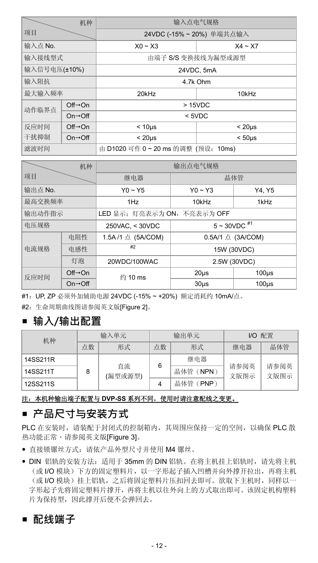|              | 机种                           | 输入点电气规格                           |                         |  |
|--------------|------------------------------|-----------------------------------|-------------------------|--|
| 项目           |                              |                                   | 24VDC (-15%~20%) 单端共点输入 |  |
| 输入点 No.      |                              | $X0 - X3$                         | $X4 - X7$               |  |
| 输入接线型式       |                              | 由端子 S/S 变换接线为漏型或源型                |                         |  |
| 输入信号电压(±10%) |                              | 24VDC, 5mA                        |                         |  |
| 输入阻抗         |                              | 4.7k Ohm                          |                         |  |
| 最大输入频率       |                              | 20kHz<br>10kHz                    |                         |  |
| 动作临界点        | $Off \rightarrow On$         | >15VDC                            |                         |  |
|              | $On \rightarrow \bigcirc ff$ | $5VDC$                            |                         |  |
| 反应时间         | $Off \rightarrow On$         | $< 10µ$ s                         | $< 20 \mu s$            |  |
| 干扰抑制         | $On \rightarrow \bigcirc ff$ | $< 20 \mu s$                      | $< 50µ$ s               |  |
| 滤波时间         |                              | 由 D1020 可作 0~20 ms 的调整 (预设: 10ms) |                         |  |

| 机种      |                                 |                             | 输出点电气规格            |             |  |
|---------|---------------------------------|-----------------------------|--------------------|-------------|--|
| 项目      |                                 | 继电器                         | 晶体管                |             |  |
| 输出点 No. |                                 | $Y0 \sim Y5$                | $Y0 \sim Y3$       | Y4. Y5      |  |
| 最高交换频率  |                                 | 1H <sub>Z</sub>             | 10kHz              | 1kHz        |  |
| 输出动作指示  |                                 | LED 显示; 灯亮表示为 ON, 不亮表示为 OFF |                    |             |  |
| 电压规格    |                                 | 250VAC, < 30VDC             | $5 \sim 30 VDC$ #1 |             |  |
| 电阻性     |                                 | 1.5A/1 点 (5A/COM)           | 0.5A/1 点 (3A/COM)  |             |  |
| 电流规格    | 电感性                             | #2                          |                    | 15W (30VDC) |  |
| 灯泡      |                                 | 20WDC/100WAC                | 2.5W (30VDC)       |             |  |
| 反应时间    | $Off \rightarrow On$            | 约 10 ms                     | $20µ$ s            | $100µ$ s    |  |
|         | $On \rightarrow \overline{Off}$ |                             | $30µ$ s            | $100µ$ s    |  |

#1:UP, ZP 必须外加辅助电源 24VDC (-15% ~ +20%) 额定消耗约 10mA/点。

#2:生命周期曲线图请参阅英文版[Figure 2]。

## **输入/输出配置**

| 机种       | 输入单元 |               | 输出单元     | I/O 配置   |              |              |
|----------|------|---------------|----------|----------|--------------|--------------|
|          | 点数   | 形式            | 点数       | 形式       | 继电器          | 晶体管          |
| 14SS211R |      |               | 6        | 继电器      |              |              |
| 14SS211T | 8    | 直流<br>(漏型或源型) |          | 晶体管(NPN) | 请参阅英<br>文版图示 | 请参阅英<br>文版图示 |
| 12SS211S |      |               | 晶体管(PNP) |          |              |              |

#### 注:本机种输出端子配置与 **DVP-SS** 系列不同,使用时请注意配线之变更。

### **产品尺寸与安装方式**

PLC 在安装时,请装配于封闭式的控制箱内,其周围应保持一定的空间,以确保 PLC 散 热功能正常,请参阅英文版[Figure 3]。

- 直接锁镙丝方式:请依产品外型尺寸并使用 M4 镙丝。
- DIN 铝轨的安装方法:适用于 35mm 的 DIN 铝轨。在将主机挂上铝轨时,请先将主机 (或 I/O 模块)下方的固定塑料片,以一字形起子插入凹槽并向外撑开拉出,再将主机 (或 I/O 模块) 挂上铝轨, 之后将固定塑料片压扣回去即可。欲取下主机时,同样以一 字形起子先将固定塑料片撑开,再将主机以往外向上的方式取出即可。该固定机构塑料 片为保持型,因此撑开后便不会弹回去。

## **配线端子**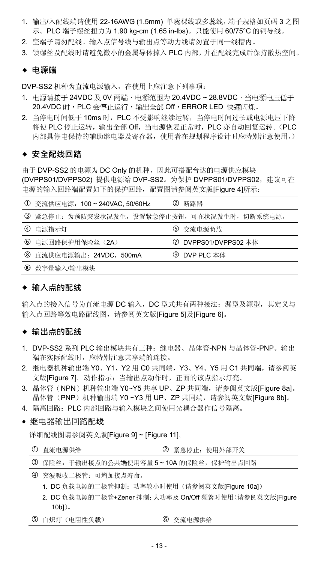- 1. 输出/入配线端请使用 22-16AWG (1.5mm) 单蕊祼线或多蕊线,端子规格如页码 3 之图 示。PLC 端子螺丝扭力为 1.90 kg-cm (1.65 in-lbs)。只能使用 60/75°C 的铜导线。
- 2. 空端子请勿配线。输入点信号线与输出点等动力线请勿置于同一线槽内。
- 3. 锁螺丝及配线时请避免微小的金属导体掉入 PLC 内部,并在配线完成后保持散热空间。

#### **电源端**

DVP-SS2 机种为直流电源输入,在使用上应注意下列事项:

- 1. 电源请接于 24VDC 及 0V 两端,电源范围为 20.4VDC ~ 28.8VDC,当电源电压低于 20.4VDC 时,PLC 会停止运行,输出全部 Off,ERROR LED 快速闪烁。
- 2. 当停电时间低于 10ms 时,PLC 不受影响继续运转,当停电时间过长或电源电压下降 将使 PLC 停止运转,输出全部 Off,当电源恢复正常时,PLC 亦自动回复运转。(PLC 内部具停电保持的辅助继电器及寄存器,使用者在规划程序设计时应特别注意使用。)

### **◆ 安全配线回路**

由于 DVP-SS2 的电源为 DC Only 的机种, 因此可搭配台达的电源供应模块 (DVPPS01/DVPPS02) 提供电源给 DVP-SS2。为保护 DVPPS01/DVPPS02,建议可在 电源的输入回路端配置如下的保护回路,配置图请参阅英文版[Figure 4]所示:

|             | ① 交流供应电源: 100~240VAC, 50/60Hz                 | Ø<br>断路器             |
|-------------|-----------------------------------------------|----------------------|
|             | ③ 紧急停止: 为预防突发状况发生, 设置紧急停止按钮, 可在状况发生时, 切断系统电源。 |                      |
| $\circledA$ | 电源指示灯                                         | 5 交流电源负载             |
| 6           | 电源回路保护用保险丝 (2A)                               | ⑦ DVPPS01/DVPPS02 本体 |
|             | 8 直流供应电源输出: 24VDC, 500mA                      | 9 DVP PLC 本体         |
| ത           | 数字量输入/输出模块                                    |                      |

### **◆ 输入点的配线**

输入点的接入信号为直流电源 DC 输入,DC 型式共有两种接法:漏型及源型,其定义与 输入点回路等效电路配线图,请参阅英文版[Figure 5]及[Figure 6]。

### **◆ 输出点的配线**

- 1. DVP-SS2 系列 PLC 输出模块共有三种:继电器、晶体管-NPN 与晶体管-PNP。输出 端在实际配线时,应特别注意共享端的连接。
- 2. 继电器机种输出端 Y0、Y1、Y2 用 C0 共同端, Y3、Y4、Y5 用 C1 共同端, 请参阅英 文版[Figure 7]。动作指示: 当输出点动作时, 正面的该点指示灯亮。
- 3. 晶体管(NPN)机种输出端 Y0~Y5 共享 UP、ZP 共同端,请参阅英文版[Figure 8al。 晶体管(PNP)机种输出端 Y0 ~Y3 用 UP、ZP 共同端,请参阅英文版[Figure 8b]。
- 4. 隔离回路:PLC 内部回路与输入模块之间使用光耦合器作信号隔离。
- 继电器输出回路配线

详细配线图请参阅英文版[Figure 9] ~ [Figure 11]。

| ① 直流电源供给                                 | ② 紧急停止: 使用外部开关 |
|------------------------------------------|----------------|
| 3 保险丝: 于输出接点的公共端使用容量 5~10A 的保险丝, 保护输出点回路 |                |
| 4   突波吸收二极管,  可增加接占寿命。                   |                |

- 1. DC 负载电源的二极管抑制: 功率较小时使用(请参阅英文版[Figure 10a])
- 2. DC 负载电源的二极管+Zener 抑制: 大功率及 On/Off 频繁时使用(请参阅英文版[Figure 10b])。

| 5 白炽灯 (电阻性负载)<br>6 交流电源供给 |  |
|---------------------------|--|
|---------------------------|--|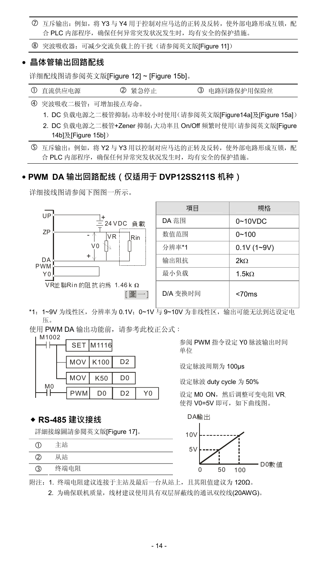互斥输出:例如,将 Y3 与 Y4 用于控制对应马达的正转及反转,使外部电路形成互锁,配 合 PLC 内部程序,确保任何异常突发状况发生时,均有安全的保护措施。

突波吸收器:可减少交流负载上的干扰(请参阅英文版[Figure 11])

#### **晶体管输出回路配线**

详细配线图请参阅英文版[Figure 12] ~ [Figure 15b]。

1 直流供应电源 2 紧急停止 3 电路回路保护用保险丝

突波吸收二极管:可增加接点寿命。

- 1. DC 负载电源之二极管抑制:功率较小时使用(请参阅英文版[Figure14a]及[Figure 15a])
- 2. DC 负载电源之二极管+Zener 抑制:大功率且 On/Off 频繁时使用(请参阅英文版[Figure 14b]及[Figure 15b])

 互斥输出:例如,将 Y2 与 Y3 用以控制对应马达的正转及反转,使外部电路形成互锁,配 合 PLC 内部程序,确保任何异常突发状况发生时,均有安全的保护措施。

### **PWM DA 输出回路配线(仅适用于 DVP12SS211S 机种)**

详细接线图请参阅下图图一所示。



\*1:1~9V 为线性区,分辨率为 0.1V;0~1V 与 9~10V 为非线性区,输出可能无法到达设定电 压。

使用 PWM DA 输出功能前, 请参考此校正公式:

| M1002          |            | <b>SET M1116</b> |                |  |
|----------------|------------|------------------|----------------|--|
|                |            | MOV   K100       | D <sub>2</sub> |  |
|                | MOV        | K50              | D <sub>0</sub> |  |
| M <sub>0</sub> | <b>PWM</b> | D <sub>0</sub>   | D <sub>2</sub> |  |

#### **RS-485 建议接线**

詳細接線圖請參閱英文版[Figure 17]。

|   | 主站   | $\sim$<br>э | <b>bonne</b> |    |     |      |
|---|------|-------------|--------------|----|-----|------|
| K | 諈    |             |              |    |     |      |
| 3 | 终端电阻 |             |              | 50 | 100 | D0數值 |

参阅 PWM 指令设定 Y0 脉波输出时间 单位

设定脉波周期为 100µs

设定脉波 duty cycle 为 50%

设定 M0 ON, 然后调整可变电阻 VR 使得 V0=5V 即可,如下曲线图。





附注:1. 终端电阻建议连接于主站及最后一台从站上,且其阻值建议为 120Ω。

2. 为确保联机质量,线材建议使用具有双层屏蔽线的通讯双绞线(20AWG)。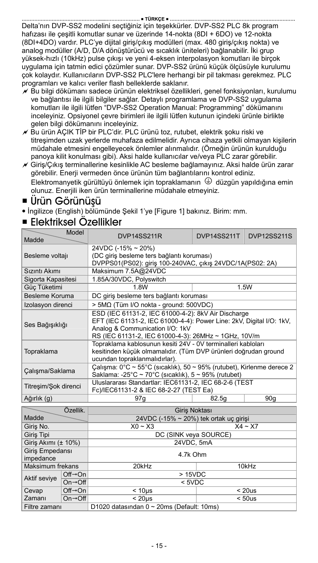Delta'nın DVP-SS2 modelini seçtiğiniz için teşekkürler. DVP-SS2 PLC 8k program hafızası ile çeşitli komutlar sunar ve üzerinde 14-nokta (8DI + 6DO) ve 12-nokta (8DI+4DO) vardır. PLC'ye dijital giriş/çıkış modülleri (max. 480 giriş/çıkış nokta) ve analog modüller (A/D, D/A dönüştürücü ve sıcaklık üniteleri) bağlanabilir. İki grup yüksek-hızlı (10kHz) pulse çıkışı ve yeni 4-eksen interpolasyon komutları ile birçok uygulama için tatmin edici çözümler sunar. DVP-SS2 ürünü küçük ölçüsüyle kurulumu çok kolaydır. Kullanıcıların DVP-SS2 PLC'lere herhangi bir pil takması gerekmez. PLC programları ve kalıcı veriler flash belleklerde saklanır.

- $\overline{\nu}$  Bu bilgi dökümanı sadece ürünün elektriksel özellikleri, genel fonksiyonları, kurulumu ve bağlantısı ile ilgili bilgiler sağlar. Detaylı programlama ve DVP-SS2 uygulama komutları ile ilgili lütfen "DVP-SS2 Operation Manual: Programming" dökümanını inceleyiniz. Opsiyonel çevre birimleri ile ilgili lütfen kutunun içindeki ürünle birlikte gelen bilgi dökümanını inceleyiniz.
- $\overline{\mathscr{A}}$  Bu ürün ACIK TİP bir PLC'dir. PLC ürünü toz, rutubet, elektrik soku riski ve titreşimden uzak yerlerde muhafaza edilmelidir. Ayrıca cihaza yetkili olmayan kişilerin müdahale etmesini engelleyecek önlemler alınmalıdır. (Örneğin ürünün kurulduğu panoya kilit konulması gibi). Aksi halde kullanıcılar ve/veya PLC zarar görebilir.
- $\overline{\mathscr{N}}$  Giris/Cıkış terminallerine kesinlikle AC besleme bağlamayınız. Aksi halde ürün zarar görebilir. Enerji vermeden önce ürünün tüm bağlantılarını kontrol ediniz. Elektromanyetik gürültüyü önlemek için topraklamanın  $\bigoplus$  düzgün vapıldığına emin olunuz. Enerjili iken ürün terminallerine müdahale etmeyiniz.

### Ürün Görünüşü

İngilizce (English) bölümünde Şekil 1'ye [Figure 1] bakınız. Birim: mm.

### Elektriksel Özellikler

| Model<br>Madde                                                      |                             | DVP14SS211R                                                                                                                                                                                                            | DVP14SS211T | <b>DVP12SS211S</b> |  |
|---------------------------------------------------------------------|-----------------------------|------------------------------------------------------------------------------------------------------------------------------------------------------------------------------------------------------------------------|-------------|--------------------|--|
| Besleme voltajı                                                     |                             | $24VDC (-15% ~ 20%)$<br>(DC giriş besleme ters bağlantı koruması)<br>DVPPS01(PS02): giriş 100-240VAC, çıkış 24VDC/1A(PS02: 2A)                                                                                         |             |                    |  |
| Sizinti Akimi                                                       |                             | Maksimum 7.5A@24VDC                                                                                                                                                                                                    |             |                    |  |
| Sigorta Kapasitesi                                                  |                             | 1.85A/30VDC, Polyswitch                                                                                                                                                                                                |             |                    |  |
| Güç Tüketimi                                                        |                             | 1.8W                                                                                                                                                                                                                   |             | 1.5W               |  |
| Besleme Koruma                                                      |                             | DC giriş besleme ters bağlantı koruması                                                                                                                                                                                |             |                    |  |
| Izolasyon direnci                                                   |                             | > 5MΩ (Tüm I/O nokta - ground: 500VDC)                                                                                                                                                                                 |             |                    |  |
| Ses Bağışıklığı                                                     |                             | ESD (IEC 61131-2, IEC 61000-4-2); 8kV Air Discharge<br>EFT (IEC 61131-2, IEC 61000-4-4): Power Line: 2kV, Digital I/O: 1kV,<br>Analog & Communication I/O: 1kV<br>RS (IEC 61131-2, IEC 61000-4-3): 26MHz ~ 1GHz, 10V/m |             |                    |  |
| Topraklama                                                          |                             | Topraklama kablosunun kesiti 24V - 0V terminalleri kabloları<br>kesitinden küçük olmamalıdır. (Tüm DVP ürünleri doğrudan ground<br>ucundan topraklanmalıdırlar).                                                       |             |                    |  |
| Calışma/Saklama                                                     |                             | Calisma: 0°C ~ 55°C (sicaklik), 50 ~ 95% (rutubet), Kirlenme derece 2<br>Saklama: -25°C ~ 70°C (sıcaklık), 5 ~ 95% (rutubet)                                                                                           |             |                    |  |
| Titresim/Sok direnci                                                |                             | Uluslararası Standartlar: IEC61131-2, IEC 68-2-6 (TEST<br>Fc)/IEC61131-2 & IEC 68-2-27 (TEST Ea)                                                                                                                       |             |                    |  |
| Ağırlık (g)                                                         |                             | 97q                                                                                                                                                                                                                    | 82.5g       | 90q                |  |
| Özellik.                                                            |                             | Giris Noktası                                                                                                                                                                                                          |             |                    |  |
| Madde                                                               |                             | 24VDC (-15% ~ 20%) tek ortak uç girişi                                                                                                                                                                                 |             |                    |  |
| Giris No.                                                           |                             | $X0 - X3$<br>$X4 - X7$                                                                                                                                                                                                 |             |                    |  |
| Giris Tipi                                                          |                             | DC (SINK veya SOURCE)                                                                                                                                                                                                  |             |                    |  |
| Giris Akımı (± 10%)                                                 |                             |                                                                                                                                                                                                                        | 24VDC, 5mA  |                    |  |
| Giris Empedansı<br>impedance                                        |                             | 4.7k Ohm                                                                                                                                                                                                               |             |                    |  |
| Maksimum frekans                                                    |                             | 20kHz<br>10kHz                                                                                                                                                                                                         |             |                    |  |
| $Off \rightarrow On$<br>Aktif seviye<br>$On \rightarrow \text{Off}$ |                             | >15VDC                                                                                                                                                                                                                 |             |                    |  |
|                                                                     |                             | $5VDC$                                                                                                                                                                                                                 |             |                    |  |
| Cevap                                                               | $Off \rightarrow On$        | < 10 <sub>µ</sub> s                                                                                                                                                                                                    |             | < 20us             |  |
| Zamanı                                                              | $On \rightarrow \text{Off}$ | $< 20 \mu s$<br>< 50us                                                                                                                                                                                                 |             |                    |  |
| Filtre zamanı                                                       |                             | D1020 datasından 0 ~ 20ms (Default: 10ms)                                                                                                                                                                              |             |                    |  |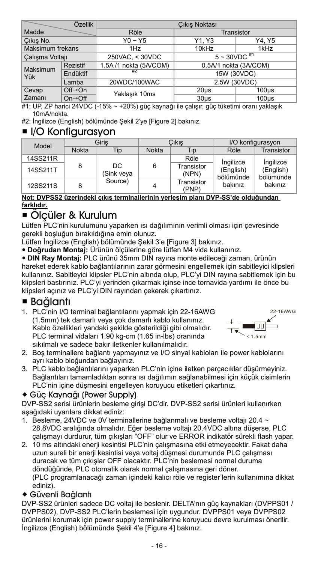| Özellik          |                                               | Cıkış Noktası                                  |                   |             |  |
|------------------|-----------------------------------------------|------------------------------------------------|-------------------|-------------|--|
| Madde            |                                               | Röle                                           | Transistor        |             |  |
| Cikis No.        |                                               | $Y0 \sim Y5$                                   | Y1. Y3            | Y4. Y5      |  |
| Maksimum frekans |                                               | 1Hz                                            | 10kHz             | 1kHz        |  |
| Calışma Voltajı  | $5 - 30 VDC$ <sup>#1</sup><br>250VAC, < 30VDC |                                                |                   |             |  |
| Maksimum         | <b>Rezistif</b>                               | 1.5A/1 nokta (5A/COM)<br>0.5A/1 nokta (3A/COM) |                   |             |  |
| l Yük            | Endüktif                                      | #7                                             |                   | 15W (30VDC) |  |
| Lamba            |                                               | 20WDC/100WAC                                   | 2.5W (30VDC)      |             |  |
| Cevap            | $Off \rightarrow On$                          | Yaklaşık 10ms                                  | 20 <sub>µ</sub> s | $100µ$ s    |  |
| Zamanı           | $On \rightarrow \text{Off}$                   |                                                | $30µ$ s           | $100µ$ s    |  |

#1: UP, ZP harici 24VDC (-15% ~ +20%) güç kaynağı ile çalışır, güç tüketimi oranı yaklaşık 10mA/nokta.

#2: İngilizce (English) bölümünde Şekil 2'ye [Figure 2] bakınız.

### $\blacksquare$  I/O Konfigurasyon

| Model           |              | Giris<br>Cıkıs    |       | I/O konfigurasyon   |                        |                        |
|-----------------|--------------|-------------------|-------|---------------------|------------------------|------------------------|
|                 | <b>Nokta</b> | Tip               | Nokta | Tip                 | Röle                   | Transistor             |
| 14SS211R        |              |                   |       | Röle                | Ingilizce              | Ingilizce              |
| 14SS211T        | 8            | DC.<br>(Sink veya | 6     | Transistor<br>(NPN) | (English)<br>bölümünde | (English)<br>bölümünde |
| <b>12SS211S</b> | 8            | Source)           | 4     | Transistor<br>(PNP) | bakınız                | bakınız                |

#### **Not: DVPSS2 üzerindeki çıkış terminallerinin yerleşim planı DVP-SS'de olduğundan farklıdır.**

### ■ Ölcüler & Kurulum

Lütfen PLC'nin kurulumunu yaparken ısı dağılımının verimli olması için çevresinde gerekli boşluğun bırakıldığına emin olunuz.

Lütfen İngilizce (English) bölümünde Şekil 3'e [Figure 3] bakınız.

**Doğrudan Montaj:** Ürünün ölçülerine göre lütfen M4 vida kullanınız.

 **DIN Ray Montaj:** PLC ürünü 35mm DIN rayına monte edileceği zaman, ürünün hareket ederek kablo bağlantılarının zarar görmesini engellemek için sabitleyici klipsleri kullanınız. Sabitleyici klipsler PLC'nin altında olup, PLC'yi DIN rayına sabitlemek için bu klipsleri bastırınız. PLC'yi yerinden çıkarmak içinse ince tornavida yardımı ile önce bu klipsleri açınız ve PLC'yi DIN rayından çekerek çıkartınız.

### Bağlantı

1. PLC'nin I/O terminal bağlantılarını yapmak için 22-16AWG (1.5mm) tek damarlı veya çok damarlı kablo kullanınız. Kablo özellikleri yandaki şekilde gösterildiği gibi olmalıdır. PLC terminal vidaları 1.90 kg-cm (1.65 in-lbs) oranında sıkılmalı ve sadece bakır iletkenler kullanılmalıdır.



- 2. Boş terminallere bağlantı yapmayınız ve I/O sinyal kabloları ile power kablolarını ayrı kablo bloğundan bağlayınız.
- 3. PLC kablo bağlantılarını yaparken PLC'nin içine iletken parçacıklar düşürmeyiniz. Bağlantıları tamamladıktan sonra ısı dağılımın sağlanabilmesi için küçük cisimlerin PLC'nin içine düşmesini engelleyen koruyucu etiketleri çıkartınız.

### Güç Kaynağı (Power Supply)

DVP-SS2 serisi ürünlerin besleme girişi DC'dir. DVP-SS2 serisi ürünleri kullanırken aşağıdaki uyarılara dikkat ediniz:

- 1. Besleme, 24VDC ve 0V terminallerine bağlanmalı ve besleme voltajı 20.4 ~ 28.8VDC aralığında olmalıdır. Eğer besleme voltajı 20.4VDC altına düşerse, PLC çalışmayı durdurur, tüm çıkışları "OFF" olur ve ERROR indikatör sürekli flash yapar.
- 2. 10 ms altındaki enerji kesintisi PLC'nin çalışmasına etki etmeyecektir. Fakat daha uzun sureli bir enerji kesintisi veya voltaj düşmesi durumunda PLC çalışması duracak ve tüm çıkışlar OFF olacaktır. PLC'nin beslemesi normal duruma döndüğünde, PLC otomatik olarak normal çalışmasına geri döner. (PLC programlanacağı zaman içindeki kalıcı röle ve register'lerin kullanımına dikkat ediniz).

### Güvenli Bağlantı

DVP-SS2 ürünleri sadece DC voltaj ile beslenir. DELTA'nın güç kaynakları (DVPPS01 / DVPPS02), DVP-SS2 PLC'lerin beslemesi için uygundur. DVPPS01 veya DVPPS02 ürünlerini korumak için power supply terminallerine koruyucu devre kurulması önerilir. İngilizce (English) bölümünde Şekil 4'e [Figure 4] bakınız.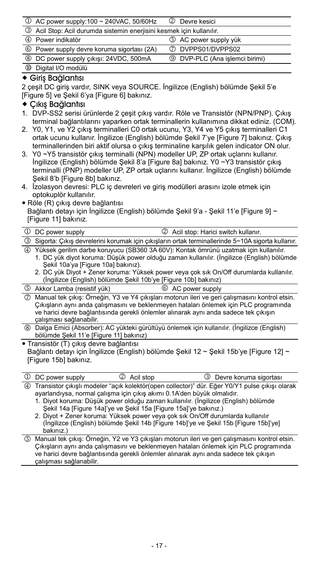| $\circled{1}$ AC power supply:100 ~ 240VAC, 50/60Hz                   | 2 Devre kesici                        |
|-----------------------------------------------------------------------|---------------------------------------|
| 3 Acil Stop: Acil durumda sistemin enerjisini kesmek için kullanılır. |                                       |
| 4 Power indikatör                                                     | 5 AC power supply yük                 |
| <sup>6</sup> Power supply devre koruma sigortası (2A)                 | 7 DVPPS01/DVPPS02                     |
| 8 DC power supply çıkışı: 24VDC, 500mA                                | <b>9</b> DVP-PLC (Ana işlemci birimi) |
| <sup>10</sup> Digital I/O modulu                                      |                                       |

#### Giriş Bağlantısı

2 çeşit DC giriş vardır, SINK veya SOURCE. İngilizce (English) bölümde Şekil 5'e [Figure 5] ve Şekil 6'ya [Figure 6] bakınız.

#### $\triangle$  Cikis Bağlantısı

- 1. DVP-SS2 serisi ürünlerde 2 çeşit çıkış vardır. Röle ve Transistör (NPN/PNP). Çıkış terminal bağlantılarını yaparken ortak terminallerin kullanımına dikkat ediniz. (COM).
- 2. Y0, Y1, ve Y2 çıkış terminalleri C0 ortak ucunu, Y3, Y4 ve Y5 çıkış terminalleri C1 ortak ucunu kullanır. İngilizce (English) bölümde Şekil 7'ye [Figure 7] bakınız. Çıkış terminallerinden biri aktif olursa o çıkış terminaline karşılık gelen indicator ON olur.
- 3. Y0 ~Y5 transistör çıkış terminalli (NPN) modeller UP, ZP ortak uçlarını kullanır. İngilizce (English) bölümde Şekil 8'a [Figure 8a] bakınız. Y0 ~Y3 transistör çıkış terminalli (PNP) modeller UP, ZP ortak uçlarını kullanır. İngilizce (English) bölümde Sekil 8'b [Figure 8b] bakınız.
- 4. İzolasyon devresi: PLC iç devreleri ve giriş modülleri arasını izole etmek için optokuplör kullanılır.
- Röle (R) çıkış devre bağlantısı

Bağlantı detayı için İngilizce (English) bölümde Sekil 9'a - Sekil 11'e [Figure 9] ~ [Figure 11] bakınız.

1 DC power supply  $2$  Acil stop: Harici switch kullanır. Sigorta: Çıkış devrelerini korumak için çıkışların ortak terminallerinde 5~10A sigorta kullanır.

Yüksek gerilim darbe koruyucu (SB360 3A 60V): Kontak ömrünü uzatmak için kullanılır.

- 1. DC yük diyot koruma: Düşük power olduğu zaman kullanılır. (İngilizce (English) bölümde Şekil 10a'ya [Figure 10a] bakınız).
- 2. DC yük Diyot + Zener koruma: Yüksek power veya çok sık On/Off durumlarda kullanılır. (İngilizce (English) bölümde Şekil 10b'ye [Figure 10b] bakınız)
- Akkor Lamba (resistif yük) AC power supply

 Manual tek çıkış: Örneğin, Y3 ve Y4 çıkışları motorun ileri ve geri çalışmasını kontrol etsin. Çıkışların aynı anda çalışmasını ve beklenmeyen hataları önlemek için PLC programında ve harici devre bağlantısında gerekli önlemler alınarak aynı anda sadece tek çıkışın çalışması sağlanabilir.

 Dalga Emici (Absorber): AC yükteki gürültüyü önlemek için kullanılır. (İngilizce (English) bölümde Şekil 11'e [Figure 11] bakınız)

Transistör (T) çıkış devre bağlantısı

Bağlantı detayı için İngilizce (English) bölümde Şekil 12 ~ Şekil 15b'ye [Figure 12] ~ [Figure 15b] bakınız.

| 1 DC power supply | 2 Acil stop                                                             | 3 Devre koruma sigortası                                                                          |
|-------------------|-------------------------------------------------------------------------|---------------------------------------------------------------------------------------------------|
|                   | ayarlandıysa, normal çalışma için çıkış akımı 0.1A'den büyük olmalıdır. | 4) Transistor çıkışlı modeler "açık kolektör(open collector)" dür. Eğer Y0/Y1 pulse çıkışı olarak |
|                   |                                                                         | 1. Diyot koruma: Düşük power olduğu zaman kullanılır. (İngilizce (English) bölümde                |

Şekil 14a [Figure 14a]'ye ve Şekil 15a [Figure 15a]'ye bakınız.)

- 2. Diyot + Zener koruma: Yüksek power veya çok sık On/Off durumlarda kullanılır (İngilizce (English) bölümde Şekil 14b [Figure 14b]'ye ve Şekil 15b [Figure 15b]'ye] bakınız.)
- Manual tek çıkış: Örneğin, Y2 ve Y3 çıkışları motorun ileri ve geri çalışmasını kontrol etsin. Çıkışların aynı anda çalışmasını ve beklenmeyen hataları önlemek için PLC programında ve harici devre bağlantısında gerekli önlemler alınarak aynı anda sadece tek çıkışın çalışması sağlanabilir.